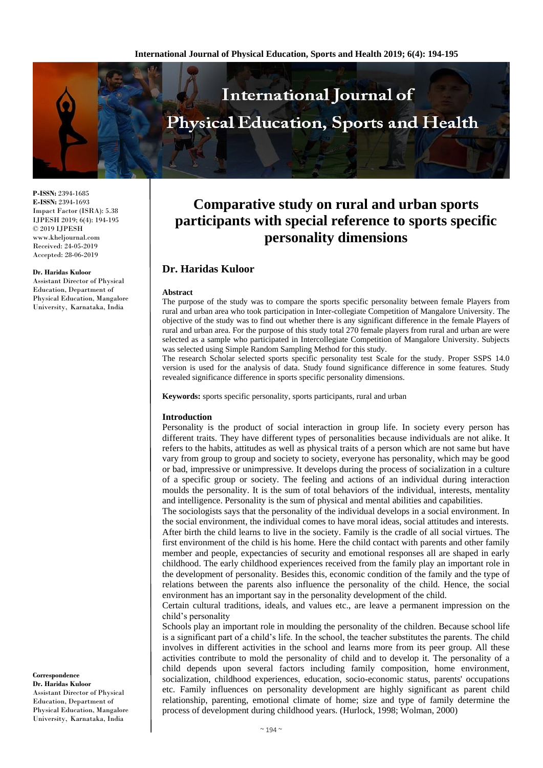

**P-ISSN:** 2394-1685 **E-ISSN:** 2394-1693 Impact Factor (ISRA): 5.38 IJPESH 2019; 6(4): 194-195 © 2019 IJPESH www.kheljournal.com Received: 24-05-2019 Accepted: 28-06-2019

#### **Dr. Haridas Kuloor**

Assistant Director of Physical Education, Department of Physical Education, Mangalore University, Karnataka, India

#### **Correspondence Dr. Haridas Kuloor** Assistant Director of Physical Education, Department of Physical Education, Mangalore University, Karnataka, India

# **Comparative study on rural and urban sports participants with special reference to sports specific personality dimensions**

# **Dr. Haridas Kuloor**

#### **Abstract**

The purpose of the study was to compare the sports specific personality between female Players from rural and urban area who took participation in Inter-collegiate Competition of Mangalore University. The objective of the study was to find out whether there is any significant difference in the female Players of rural and urban area. For the purpose of this study total 270 female players from rural and urban are were selected as a sample who participated in Intercollegiate Competition of Mangalore University. Subjects was selected using Simple Random Sampling Method for this study.

The research Scholar selected sports specific personality test Scale for the study. Proper SSPS 14.0 version is used for the analysis of data. Study found significance difference in some features. Study revealed significance difference in sports specific personality dimensions.

**Keywords:** sports specific personality, sports participants, rural and urban

#### **Introduction**

Personality is the product of social interaction in group life. In society every person has different traits. They have different types of personalities because individuals are not alike. It refers to the habits, attitudes as well as physical traits of a person which are not same but have vary from group to group and society to society, everyone has personality, which may be good or bad, impressive or unimpressive. It develops during the process of socialization in a culture of a specific group or society. The feeling and actions of an individual during interaction moulds the personality. It is the sum of total behaviors of the individual, interests, mentality and intelligence. Personality is the sum of physical and mental abilities and capabilities.

The sociologists says that the personality of the individual develops in a social environment. In the social environment, the individual comes to have moral ideas, social attitudes and interests. After birth the child learns to live in the society. Family is the cradle of all social virtues. The first environment of the child is his home. Here the child contact with parents and other family member and people, expectancies of security and emotional responses all are shaped in early childhood. The early childhood experiences received from the family play an important role in the development of personality. Besides this, economic condition of the family and the type of relations between the parents also influence the personality of the child. Hence, the social environment has an important say in the personality development of the child.

Certain cultural traditions, ideals, and values etc., are leave a permanent impression on the child's personality

Schools play an important role in moulding the personality of the children. Because school life is a significant part of a child's life. In the school, the teacher substitutes the parents. The child involves in different activities in the school and learns more from its peer group. All these activities contribute to mold the personality of child and to develop it. The personality of a child depends upon several factors including family composition, home environment, socialization, childhood experiences, education, socio-economic status, parents' occupations etc. Family influences on personality development are highly significant as parent child relationship, parenting, emotional climate of home; size and type of family determine the process of development during childhood years. (Hurlock, 1998; Wolman, 2000)